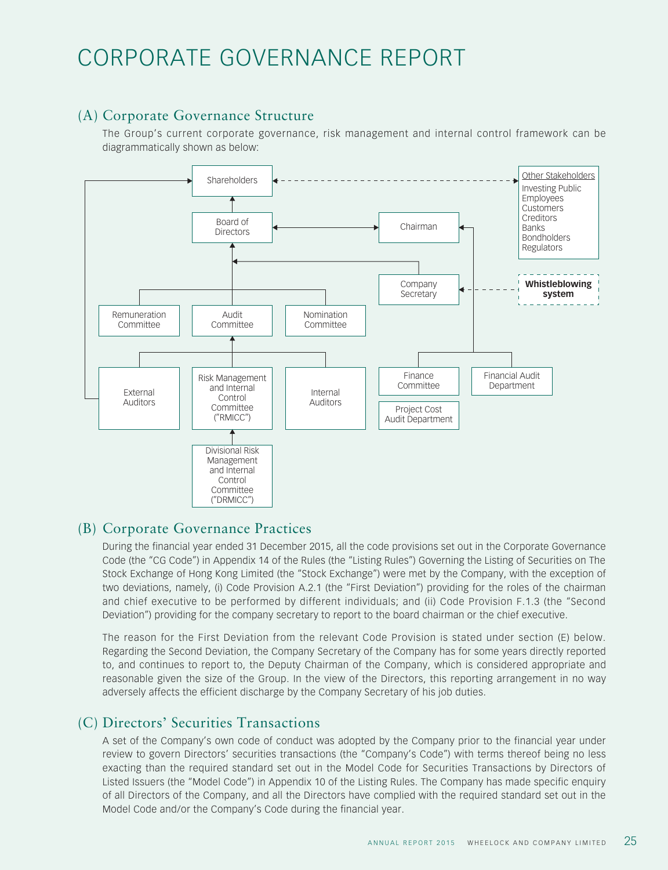# CORPORATE GOVERNANCE REPORT

# (A) Corporate Governance Structure

The Group's current corporate governance, risk management and internal control framework can be diagrammatically shown as below:



# (B) Corporate Governance Practices

During the financial year ended 31 December 2015, all the code provisions set out in the Corporate Governance Code (the "CG Code") in Appendix 14 of the Rules (the "Listing Rules") Governing the Listing of Securities on The Stock Exchange of Hong Kong Limited (the "Stock Exchange") were met by the Company, with the exception of two deviations, namely, (i) Code Provision A.2.1 (the "First Deviation") providing for the roles of the chairman and chief executive to be performed by different individuals; and (ii) Code Provision F.1.3 (the "Second Deviation") providing for the company secretary to report to the board chairman or the chief executive.

The reason for the First Deviation from the relevant Code Provision is stated under section (E) below. Regarding the Second Deviation, the Company Secretary of the Company has for some years directly reported to, and continues to report to, the Deputy Chairman of the Company, which is considered appropriate and reasonable given the size of the Group. In the view of the Directors, this reporting arrangement in no way adversely affects the efficient discharge by the Company Secretary of his job duties.

# (C) Directors' Securities Transactions

A set of the Company's own code of conduct was adopted by the Company prior to the financial year under review to govern Directors' securities transactions (the "Company's Code") with terms thereof being no less exacting than the required standard set out in the Model Code for Securities Transactions by Directors of Listed Issuers (the "Model Code") in Appendix 10 of the Listing Rules. The Company has made specific enquiry of all Directors of the Company, and all the Directors have complied with the required standard set out in the Model Code and/or the Company's Code during the financial year.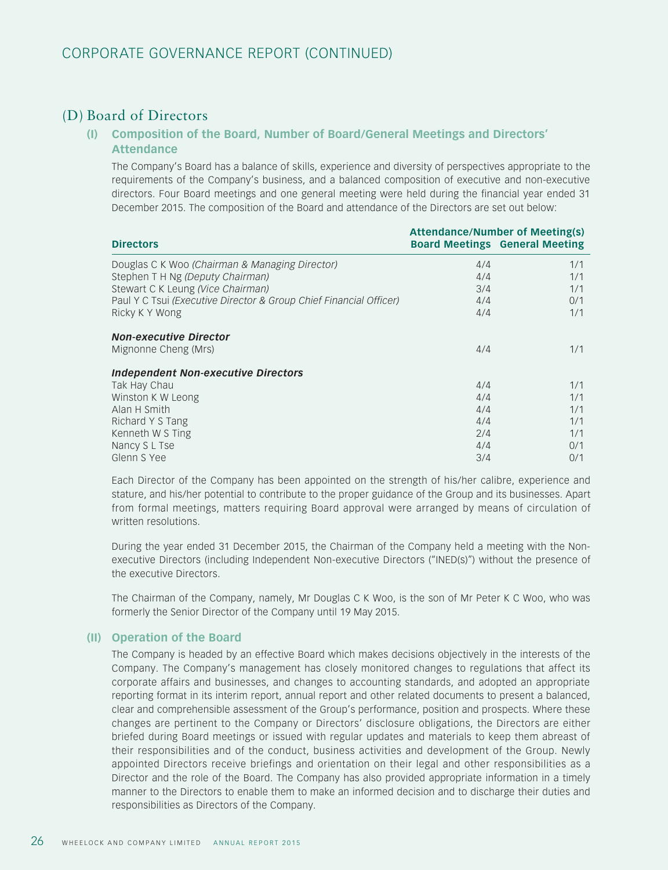# (D) Board of Directors

## **(I) Composition of the Board, Number of Board/General Meetings and Directors' Attendance**

The Company's Board has a balance of skills, experience and diversity of perspectives appropriate to the requirements of the Company's business, and a balanced composition of executive and non-executive directors. Four Board meetings and one general meeting were held during the financial year ended 31 December 2015. The composition of the Board and attendance of the Directors are set out below:

|                                                                    | <b>Attendance/Number of Meeting(s)</b> |                                       |
|--------------------------------------------------------------------|----------------------------------------|---------------------------------------|
| <b>Directors</b>                                                   |                                        | <b>Board Meetings General Meeting</b> |
| Douglas C K Woo (Chairman & Managing Director)                     | 4/4                                    | 1/1                                   |
| Stephen T H Ng (Deputy Chairman)                                   | 4/4                                    | 1/1                                   |
| Stewart C K Leung (Vice Chairman)                                  | 3/4                                    | 1/1                                   |
| Paul Y C Tsui (Executive Director & Group Chief Financial Officer) | 4/4                                    | 0/1                                   |
| Ricky K Y Wong                                                     | 4/4                                    | 1/1                                   |
| <b>Non-executive Director</b>                                      |                                        |                                       |
| Mignonne Cheng (Mrs)                                               | 4/4                                    | 1/1                                   |
| <b>Independent Non-executive Directors</b>                         |                                        |                                       |
| Tak Hay Chau                                                       | 4/4                                    | 1/1                                   |
| Winston K W Leong                                                  | 4/4                                    | 1/1                                   |
| Alan H Smith                                                       | 4/4                                    | 1/1                                   |
| Richard Y S Tang                                                   | 4/4                                    | 1/1                                   |
| Kenneth W S Ting                                                   | 2/4                                    | 1/1                                   |
| Nancy S L Tse                                                      | 4/4                                    | 0/1                                   |
| Glenn S Yee                                                        | 3/4                                    | 0/1                                   |

Each Director of the Company has been appointed on the strength of his/her calibre, experience and stature, and his/her potential to contribute to the proper guidance of the Group and its businesses. Apart from formal meetings, matters requiring Board approval were arranged by means of circulation of written resolutions.

During the year ended 31 December 2015, the Chairman of the Company held a meeting with the Nonexecutive Directors (including Independent Non-executive Directors ("INED(s)") without the presence of the executive Directors.

The Chairman of the Company, namely, Mr Douglas C K Woo, is the son of Mr Peter K C Woo, who was formerly the Senior Director of the Company until 19 May 2015.

## **(II) Operation of the Board**

The Company is headed by an effective Board which makes decisions objectively in the interests of the Company. The Company's management has closely monitored changes to regulations that affect its corporate affairs and businesses, and changes to accounting standards, and adopted an appropriate reporting format in its interim report, annual report and other related documents to present a balanced, clear and comprehensible assessment of the Group's performance, position and prospects. Where these changes are pertinent to the Company or Directors' disclosure obligations, the Directors are either briefed during Board meetings or issued with regular updates and materials to keep them abreast of their responsibilities and of the conduct, business activities and development of the Group. Newly appointed Directors receive briefings and orientation on their legal and other responsibilities as a Director and the role of the Board. The Company has also provided appropriate information in a timely manner to the Directors to enable them to make an informed decision and to discharge their duties and responsibilities as Directors of the Company.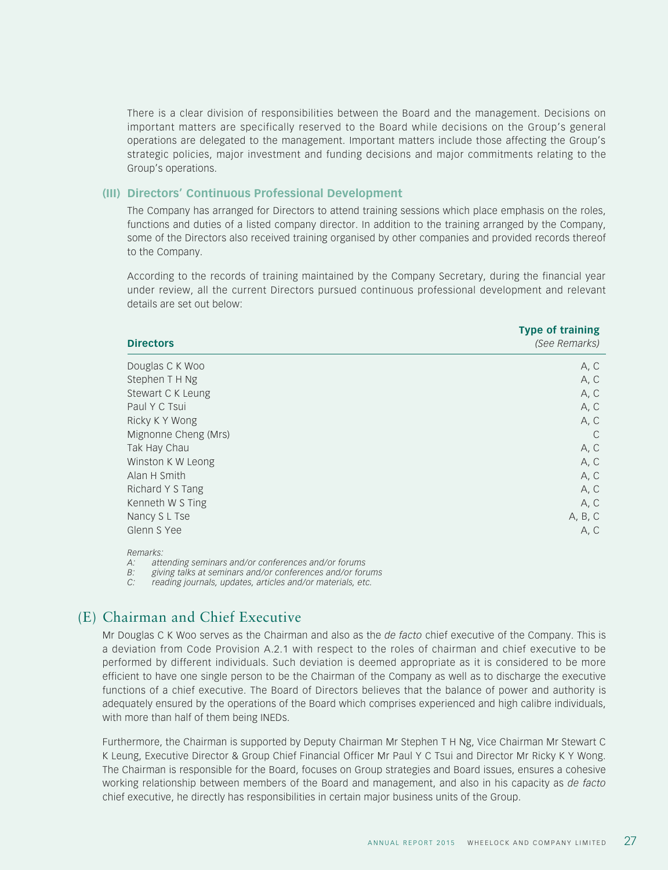There is a clear division of responsibilities between the Board and the management. Decisions on important matters are specifically reserved to the Board while decisions on the Group's general operations are delegated to the management. Important matters include those affecting the Group's strategic policies, major investment and funding decisions and major commitments relating to the Group's operations.

#### **(III) Directors' Continuous Professional Development**

The Company has arranged for Directors to attend training sessions which place emphasis on the roles, functions and duties of a listed company director. In addition to the training arranged by the Company, some of the Directors also received training organised by other companies and provided records thereof to the Company.

According to the records of training maintained by the Company Secretary, during the financial year under review, all the current Directors pursued continuous professional development and relevant details are set out below:

| <b>Directors</b>     | Type of training<br>(See Remarks) |
|----------------------|-----------------------------------|
| Douglas C K Woo      | A, C                              |
| Stephen T H Ng       | A, C                              |
| Stewart C K Leung    | A, C                              |
| Paul Y C Tsui        | A, C                              |
| Ricky K Y Wong       | A, C                              |
| Mignonne Cheng (Mrs) | $\mathcal{C}$                     |
| Tak Hay Chau         | A, C                              |
| Winston K W Leong    | A, C                              |
| Alan H Smith         | A, C                              |
| Richard Y S Tang     | A, C                              |
| Kenneth W S Ting     | A, C                              |
| Nancy S L Tse        | A, B, C                           |
| Glenn S Yee          | A, C                              |
|                      |                                   |

*Remarks:*

*A: attending seminars and/or conferences and/or forums*

*B: giving talks at seminars and/or conferences and/or forums*

*C: reading journals, updates, articles and/or materials, etc.*

## (E) Chairman and Chief Executive

Mr Douglas C K Woo serves as the Chairman and also as the *de facto* chief executive of the Company. This is a deviation from Code Provision A.2.1 with respect to the roles of chairman and chief executive to be performed by different individuals. Such deviation is deemed appropriate as it is considered to be more efficient to have one single person to be the Chairman of the Company as well as to discharge the executive functions of a chief executive. The Board of Directors believes that the balance of power and authority is adequately ensured by the operations of the Board which comprises experienced and high calibre individuals, with more than half of them being INEDs.

Furthermore, the Chairman is supported by Deputy Chairman Mr Stephen T H Ng, Vice Chairman Mr Stewart C K Leung, Executive Director & Group Chief Financial Officer Mr Paul Y C Tsui and Director Mr Ricky K Y Wong. The Chairman is responsible for the Board, focuses on Group strategies and Board issues, ensures a cohesive working relationship between members of the Board and management, and also in his capacity as *de facto* chief executive, he directly has responsibilities in certain major business units of the Group.

**Type of training**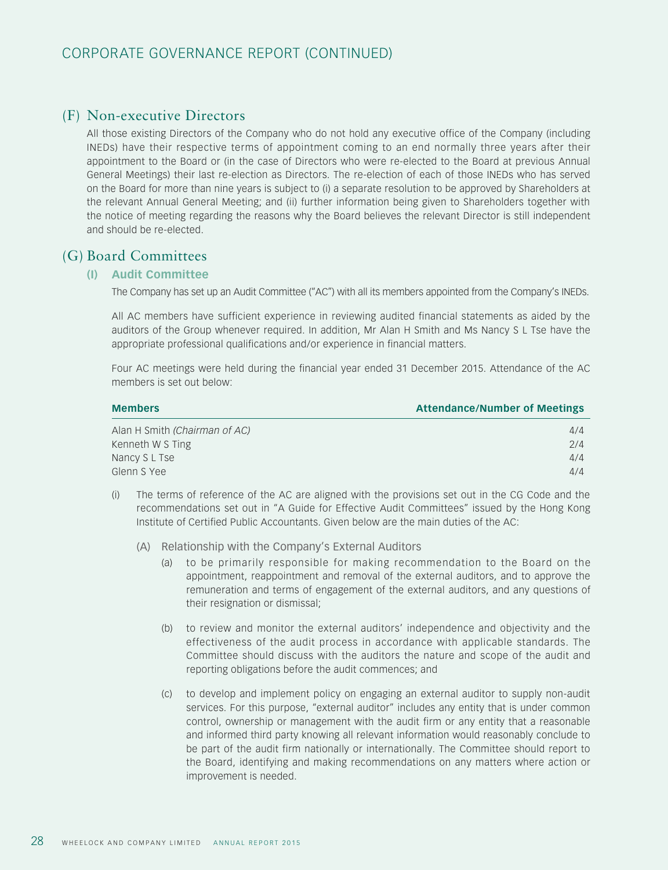# (F) Non-executive Directors

All those existing Directors of the Company who do not hold any executive office of the Company (including INEDs) have their respective terms of appointment coming to an end normally three years after their appointment to the Board or (in the case of Directors who were re-elected to the Board at previous Annual General Meetings) their last re-election as Directors. The re-election of each of those INEDs who has served on the Board for more than nine years is subject to (i) a separate resolution to be approved by Shareholders at the relevant Annual General Meeting; and (ii) further information being given to Shareholders together with the notice of meeting regarding the reasons why the Board believes the relevant Director is still independent and should be re-elected.

## (G) Board Committees

## **(I) Audit Committee**

The Company has set up an Audit Committee ("AC") with all its members appointed from the Company's INEDs.

All AC members have sufficient experience in reviewing audited financial statements as aided by the auditors of the Group whenever required. In addition, Mr Alan H Smith and Ms Nancy S L Tse have the appropriate professional qualifications and/or experience in financial matters.

Four AC meetings were held during the financial year ended 31 December 2015. Attendance of the AC members is set out below:

| <b>Members</b>                | <b>Attendance/Number of Meetings</b> |
|-------------------------------|--------------------------------------|
| Alan H Smith (Chairman of AC) | 4/4                                  |
| Kenneth W S Ting              | 2/4                                  |
| Nancy S L Tse                 | 4/4                                  |
| Glenn S Yee                   | 4/4                                  |

- (i) The terms of reference of the AC are aligned with the provisions set out in the CG Code and the recommendations set out in "A Guide for Effective Audit Committees" issued by the Hong Kong Institute of Certified Public Accountants. Given below are the main duties of the AC:
	- (A) Relationship with the Company's External Auditors
		- (a) to be primarily responsible for making recommendation to the Board on the appointment, reappointment and removal of the external auditors, and to approve the remuneration and terms of engagement of the external auditors, and any questions of their resignation or dismissal;
		- (b) to review and monitor the external auditors' independence and objectivity and the effectiveness of the audit process in accordance with applicable standards. The Committee should discuss with the auditors the nature and scope of the audit and reporting obligations before the audit commences; and
		- (c) to develop and implement policy on engaging an external auditor to supply non-audit services. For this purpose, "external auditor" includes any entity that is under common control, ownership or management with the audit firm or any entity that a reasonable and informed third party knowing all relevant information would reasonably conclude to be part of the audit firm nationally or internationally. The Committee should report to the Board, identifying and making recommendations on any matters where action or improvement is needed.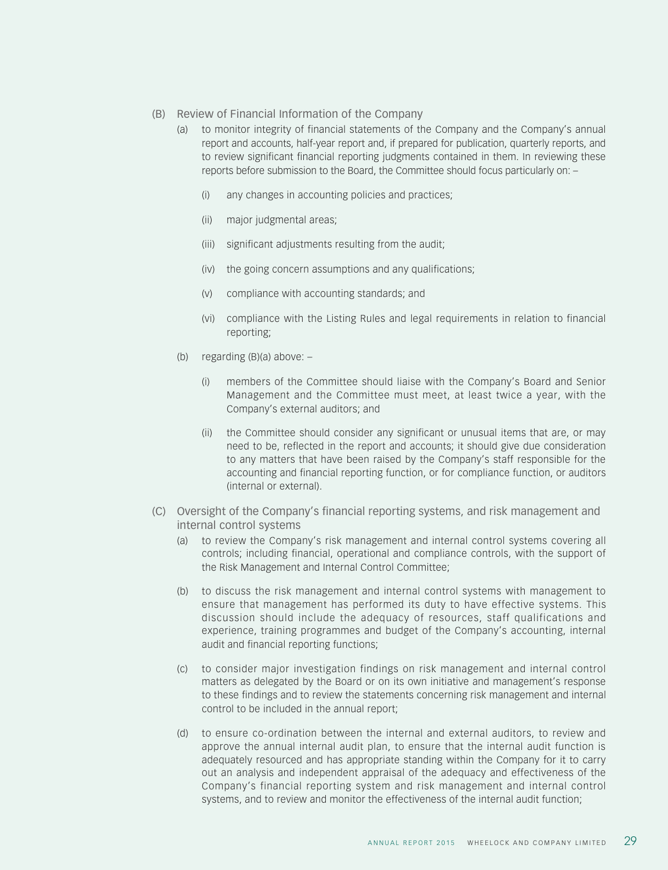- (B) Review of Financial Information of the Company
	- (a) to monitor integrity of financial statements of the Company and the Company's annual report and accounts, half-year report and, if prepared for publication, quarterly reports, and to review significant financial reporting judgments contained in them. In reviewing these reports before submission to the Board, the Committee should focus particularly on: –
		- (i) any changes in accounting policies and practices;
		- (ii) major judgmental areas;
		- (iii) significant adjustments resulting from the audit;
		- (iv) the going concern assumptions and any qualifications;
		- (v) compliance with accounting standards; and
		- (vi) compliance with the Listing Rules and legal requirements in relation to financial reporting;
	- (b) regarding (B)(a) above:
		- (i) members of the Committee should liaise with the Company's Board and Senior Management and the Committee must meet, at least twice a year, with the Company's external auditors; and
		- (ii) the Committee should consider any significant or unusual items that are, or may need to be, reflected in the report and accounts; it should give due consideration to any matters that have been raised by the Company's staff responsible for the accounting and financial reporting function, or for compliance function, or auditors (internal or external).
- (C) Oversight of the Company's financial reporting systems, and risk management and internal control systems
	- (a) to review the Company's risk management and internal control systems covering all controls; including financial, operational and compliance controls, with the support of the Risk Management and Internal Control Committee;
	- (b) to discuss the risk management and internal control systems with management to ensure that management has performed its duty to have effective systems. This discussion should include the adequacy of resources, staff qualifications and experience, training programmes and budget of the Company's accounting, internal audit and financial reporting functions;
	- (c) to consider major investigation findings on risk management and internal control matters as delegated by the Board or on its own initiative and management's response to these findings and to review the statements concerning risk management and internal control to be included in the annual report;
	- (d) to ensure co-ordination between the internal and external auditors, to review and approve the annual internal audit plan, to ensure that the internal audit function is adequately resourced and has appropriate standing within the Company for it to carry out an analysis and independent appraisal of the adequacy and effectiveness of the Company's financial reporting system and risk management and internal control systems, and to review and monitor the effectiveness of the internal audit function;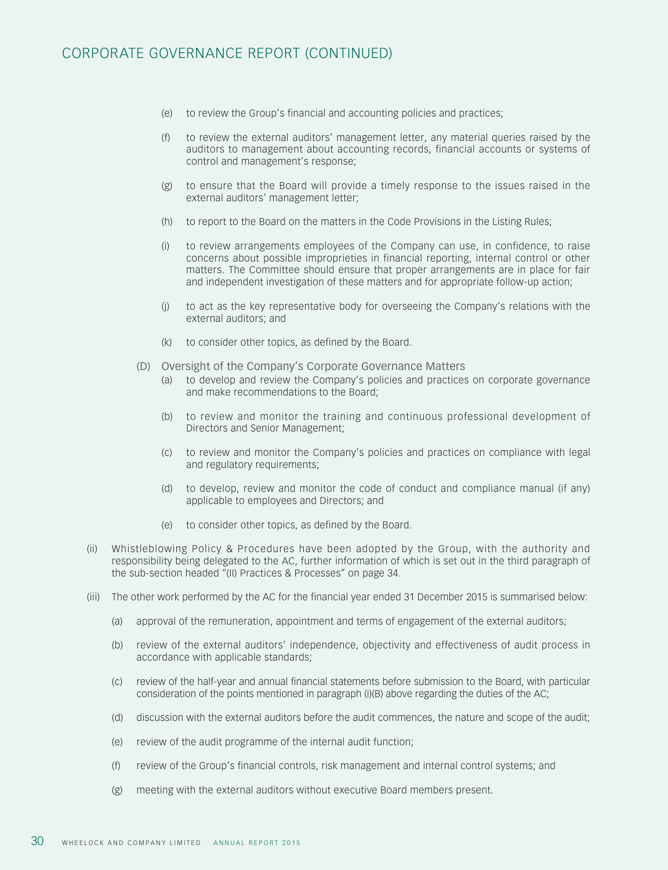- (e) to review the Group's financial and accounting policies and practices;
- (f) to review the external auditors' management letter, any material queries raised by the auditors to management about accounting records, financial accounts or systems of control and management's response;
- (g) to ensure that the Board will provide a timely response to the issues raised in the external auditors' management letter;
- (h) to report to the Board on the matters in the Code Provisions in the Listing Rules;
- (i) to review arrangements employees of the Company can use, in confidence, to raise concerns about possible improprieties in financial reporting, internal control or other matters. The Committee should ensure that proper arrangements are in place for fair and independent investigation of these matters and for appropriate follow-up action;
- (j) to act as the key representative body for overseeing the Company's relations with the external auditors; and
- (k) to consider other topics, as defined by the Board.
- (D) Oversight of the Company's Corporate Governance Matters
	- (a) to develop and review the Company's policies and practices on corporate governance and make recommendations to the Board;
	- (b) to review and monitor the training and continuous professional development of Directors and Senior Management;
	- (c) to review and monitor the Company's policies and practices on compliance with legal and regulatory requirements;
	- (d) to develop, review and monitor the code of conduct and compliance manual (if any) applicable to employees and Directors; and
	- (e) to consider other topics, as defined by the Board.
- (ii) Whistleblowing Policy & Procedures have been adopted by the Group, with the authority and responsibility being delegated to the AC, further information of which is set out in the third paragraph of the sub-section headed "(II) Practices & Processes" on page 34.
- (iii) The other work performed by the AC for the financial year ended 31 December 2015 is summarised below:
	- (a) approval of the remuneration, appointment and terms of engagement of the external auditors;
	- (b) review of the external auditors' independence, objectivity and effectiveness of audit process in accordance with applicable standards;
	- (c) review of the half-year and annual financial statements before submission to the Board, with particular consideration of the points mentioned in paragraph (i)(B) above regarding the duties of the AC;
	- (d) discussion with the external auditors before the audit commences, the nature and scope of the audit;
	- (e) review of the audit programme of the internal audit function;
	- (f) review of the Group's financial controls, risk management and internal control systems; and
	- (g) meeting with the external auditors without executive Board members present.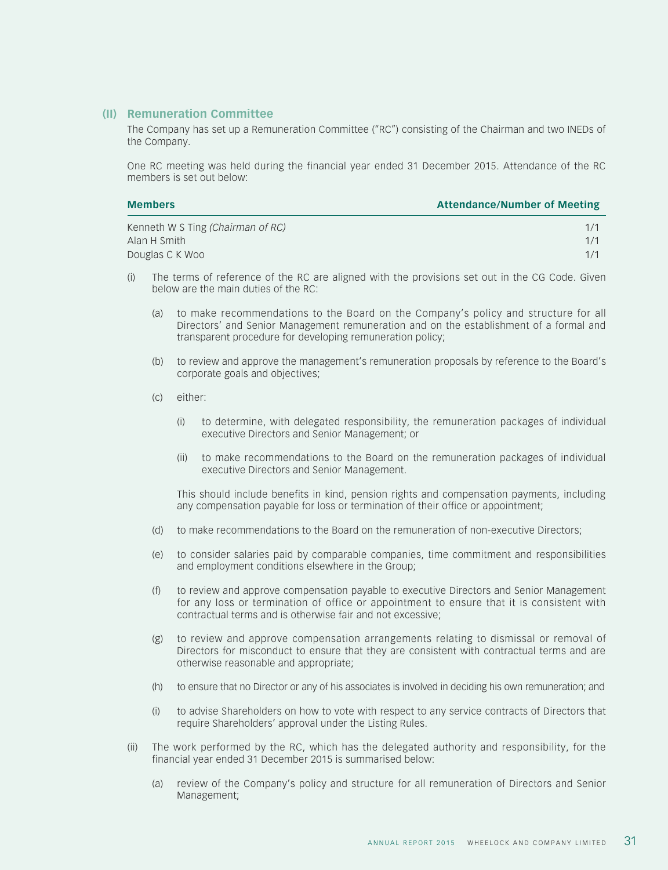#### **(II) Remuneration Committee**

The Company has set up a Remuneration Committee ("RC") consisting of the Chairman and two INEDs of the Company.

One RC meeting was held during the financial year ended 31 December 2015. Attendance of the RC members is set out below:

| <b>Members</b>                    | <b>Attendance/Number of Meeting</b> |
|-----------------------------------|-------------------------------------|
| Kenneth W S Ting (Chairman of RC) |                                     |
| Alan H Smith                      |                                     |

- **Douglas C K Woo** 1/1 (i) The terms of reference of the RC are aligned with the provisions set out in the CG Code. Given
- below are the main duties of the RC:
	- (a) to make recommendations to the Board on the Company's policy and structure for all Directors' and Senior Management remuneration and on the establishment of a formal and transparent procedure for developing remuneration policy;
	- (b) to review and approve the management's remuneration proposals by reference to the Board's corporate goals and objectives;
	- (c) either:
		- (i) to determine, with delegated responsibility, the remuneration packages of individual executive Directors and Senior Management; or
		- (ii) to make recommendations to the Board on the remuneration packages of individual executive Directors and Senior Management.

This should include benefits in kind, pension rights and compensation payments, including any compensation payable for loss or termination of their office or appointment;

- (d) to make recommendations to the Board on the remuneration of non-executive Directors;
- (e) to consider salaries paid by comparable companies, time commitment and responsibilities and employment conditions elsewhere in the Group;
- (f) to review and approve compensation payable to executive Directors and Senior Management for any loss or termination of office or appointment to ensure that it is consistent with contractual terms and is otherwise fair and not excessive;
- (g) to review and approve compensation arrangements relating to dismissal or removal of Directors for misconduct to ensure that they are consistent with contractual terms and are otherwise reasonable and appropriate;
- (h) to ensure that no Director or any of his associates is involved in deciding his own remuneration; and
- (i) to advise Shareholders on how to vote with respect to any service contracts of Directors that require Shareholders' approval under the Listing Rules.
- (ii) The work performed by the RC, which has the delegated authority and responsibility, for the financial year ended 31 December 2015 is summarised below:
	- (a) review of the Company's policy and structure for all remuneration of Directors and Senior Management;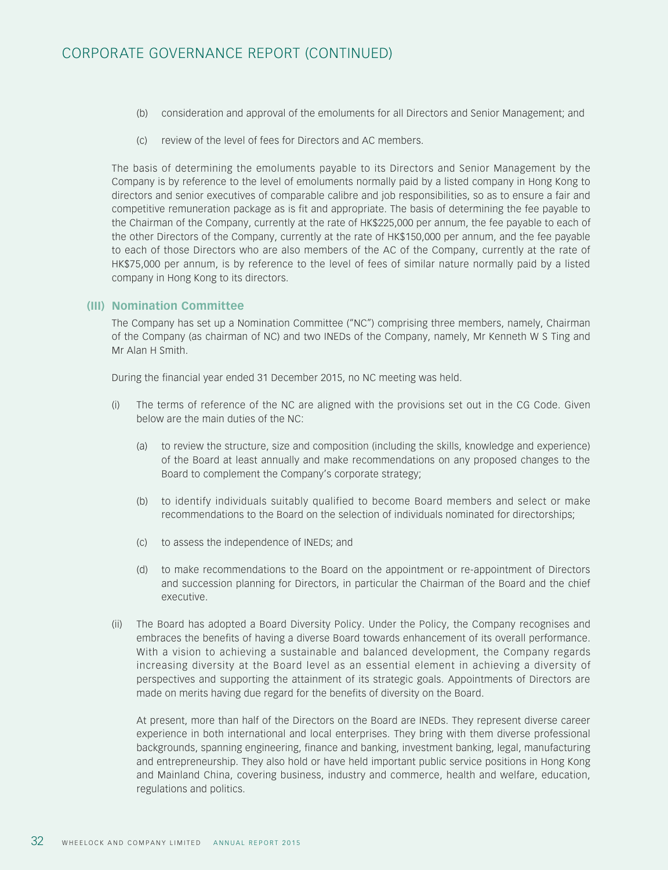- (b) consideration and approval of the emoluments for all Directors and Senior Management; and
- (c) review of the level of fees for Directors and AC members.

The basis of determining the emoluments payable to its Directors and Senior Management by the Company is by reference to the level of emoluments normally paid by a listed company in Hong Kong to directors and senior executives of comparable calibre and job responsibilities, so as to ensure a fair and competitive remuneration package as is fit and appropriate. The basis of determining the fee payable to the Chairman of the Company, currently at the rate of HK\$225,000 per annum, the fee payable to each of the other Directors of the Company, currently at the rate of HK\$150,000 per annum, and the fee payable to each of those Directors who are also members of the AC of the Company, currently at the rate of HK\$75,000 per annum, is by reference to the level of fees of similar nature normally paid by a listed company in Hong Kong to its directors.

## **(III) Nomination Committee**

The Company has set up a Nomination Committee ("NC") comprising three members, namely, Chairman of the Company (as chairman of NC) and two INEDs of the Company, namely, Mr Kenneth W S Ting and Mr Alan H Smith.

During the financial year ended 31 December 2015, no NC meeting was held.

- (i) The terms of reference of the NC are aligned with the provisions set out in the CG Code. Given below are the main duties of the NC:
	- (a) to review the structure, size and composition (including the skills, knowledge and experience) of the Board at least annually and make recommendations on any proposed changes to the Board to complement the Company's corporate strategy;
	- (b) to identify individuals suitably qualified to become Board members and select or make recommendations to the Board on the selection of individuals nominated for directorships;
	- (c) to assess the independence of INEDs; and
	- (d) to make recommendations to the Board on the appointment or re-appointment of Directors and succession planning for Directors, in particular the Chairman of the Board and the chief executive.
- (ii) The Board has adopted a Board Diversity Policy. Under the Policy, the Company recognises and embraces the benefits of having a diverse Board towards enhancement of its overall performance. With a vision to achieving a sustainable and balanced development, the Company regards increasing diversity at the Board level as an essential element in achieving a diversity of perspectives and supporting the attainment of its strategic goals. Appointments of Directors are made on merits having due regard for the benefits of diversity on the Board.

At present, more than half of the Directors on the Board are INEDs. They represent diverse career experience in both international and local enterprises. They bring with them diverse professional backgrounds, spanning engineering, finance and banking, investment banking, legal, manufacturing and entrepreneurship. They also hold or have held important public service positions in Hong Kong and Mainland China, covering business, industry and commerce, health and welfare, education, regulations and politics.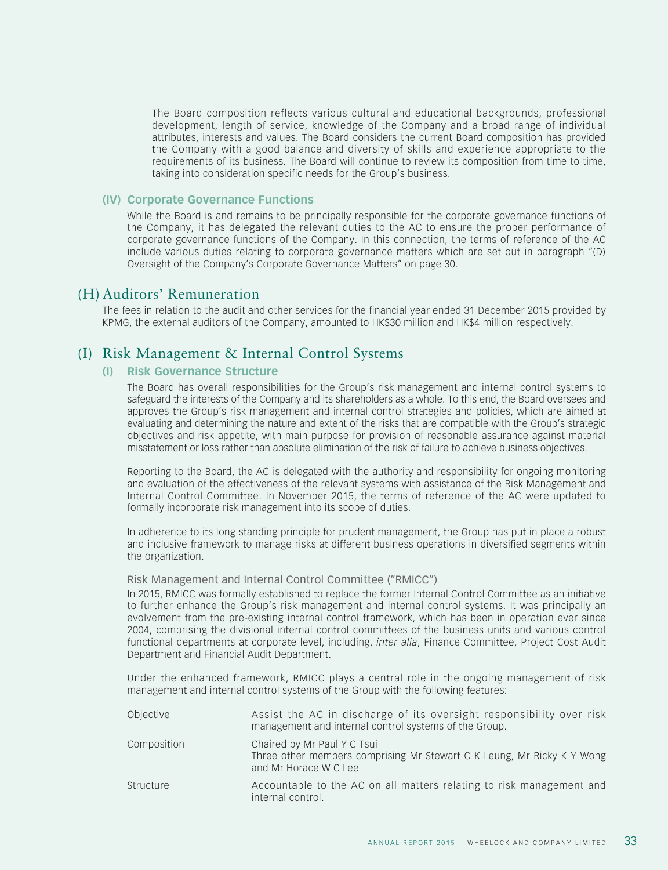The Board composition reflects various cultural and educational backgrounds, professional development, length of service, knowledge of the Company and a broad range of individual attributes, interests and values. The Board considers the current Board composition has provided the Company with a good balance and diversity of skills and experience appropriate to the requirements of its business. The Board will continue to review its composition from time to time, taking into consideration specific needs for the Group's business.

#### **(IV) Corporate Governance Functions**

While the Board is and remains to be principally responsible for the corporate governance functions of the Company, it has delegated the relevant duties to the AC to ensure the proper performance of corporate governance functions of the Company. In this connection, the terms of reference of the AC include various duties relating to corporate governance matters which are set out in paragraph "(D) Oversight of the Company's Corporate Governance Matters" on page 30.

## (H) Auditors' Remuneration

The fees in relation to the audit and other services for the financial year ended 31 December 2015 provided by KPMG, the external auditors of the Company, amounted to HK\$30 million and HK\$4 million respectively.

## (I) Risk Management & Internal Control Systems

## **(I) Risk Governance Structure**

The Board has overall responsibilities for the Group's risk management and internal control systems to safeguard the interests of the Company and its shareholders as a whole. To this end, the Board oversees and approves the Group's risk management and internal control strategies and policies, which are aimed at evaluating and determining the nature and extent of the risks that are compatible with the Group's strategic objectives and risk appetite, with main purpose for provision of reasonable assurance against material misstatement or loss rather than absolute elimination of the risk of failure to achieve business objectives.

Reporting to the Board, the AC is delegated with the authority and responsibility for ongoing monitoring and evaluation of the effectiveness of the relevant systems with assistance of the Risk Management and Internal Control Committee. In November 2015, the terms of reference of the AC were updated to formally incorporate risk management into its scope of duties.

In adherence to its long standing principle for prudent management, the Group has put in place a robust and inclusive framework to manage risks at different business operations in diversified segments within the organization.

#### Risk Management and Internal Control Committee ("RMICC")

In 2015, RMICC was formally established to replace the former Internal Control Committee as an initiative to further enhance the Group's risk management and internal control systems. It was principally an evolvement from the pre-existing internal control framework, which has been in operation ever since 2004, comprising the divisional internal control committees of the business units and various control functional departments at corporate level, including, *inter alia*, Finance Committee, Project Cost Audit Department and Financial Audit Department.

Under the enhanced framework, RMICC plays a central role in the ongoing management of risk management and internal control systems of the Group with the following features:

| Objective   | Assist the AC in discharge of its oversight responsibility over risk<br>management and internal control systems of the Group.  |
|-------------|--------------------------------------------------------------------------------------------------------------------------------|
| Composition | Chaired by Mr Paul Y C Tsui<br>Three other members comprising Mr Stewart C K Leung, Mr Ricky K Y Wong<br>and Mr Horace W C Lee |
| Structure   | Accountable to the AC on all matters relating to risk management and<br>internal control.                                      |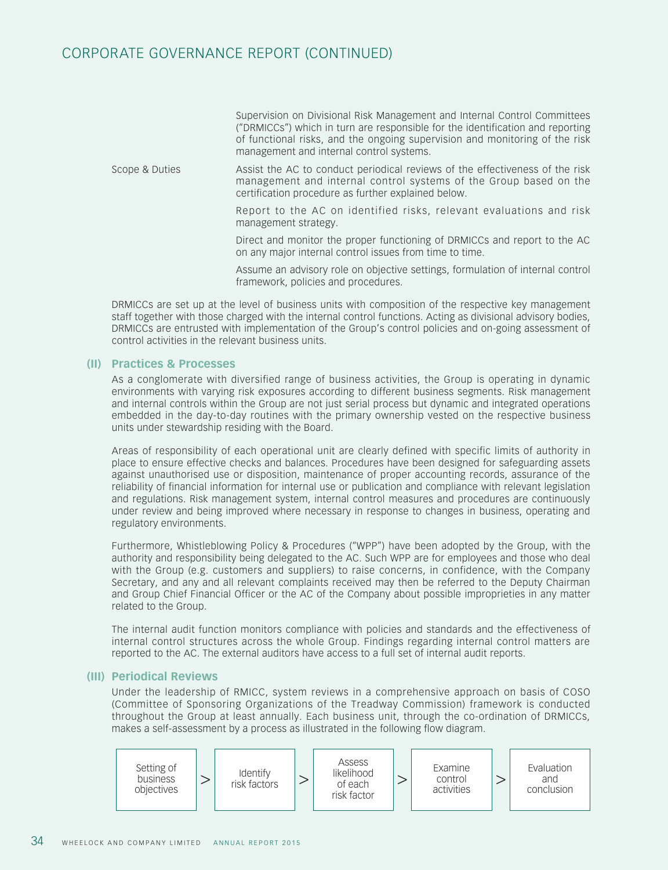# CORPORATE GOVERNANCE REPORT (CONTINUED)

Supervision on Divisional Risk Management and Internal Control Committees ("DRMICCs") which in turn are responsible for the identification and reporting of functional risks, and the ongoing supervision and monitoring of the risk management and internal control systems.

Scope & Duties Assist the AC to conduct periodical reviews of the effectiveness of the risk management and internal control systems of the Group based on the certification procedure as further explained below.

> Report to the AC on identified risks, relevant evaluations and risk management strategy.

> Direct and monitor the proper functioning of DRMICCs and report to the AC on any major internal control issues from time to time.

> Assume an advisory role on objective settings, formulation of internal control framework, policies and procedures.

DRMICCs are set up at the level of business units with composition of the respective key management staff together with those charged with the internal control functions. Acting as divisional advisory bodies, DRMICCs are entrusted with implementation of the Group's control policies and on-going assessment of control activities in the relevant business units.

## **(II) Practices & Processes**

As a conglomerate with diversified range of business activities, the Group is operating in dynamic environments with varying risk exposures according to different business segments. Risk management and internal controls within the Group are not just serial process but dynamic and integrated operations embedded in the day-to-day routines with the primary ownership vested on the respective business units under stewardship residing with the Board.

Areas of responsibility of each operational unit are clearly defined with specific limits of authority in place to ensure effective checks and balances. Procedures have been designed for safeguarding assets against unauthorised use or disposition, maintenance of proper accounting records, assurance of the reliability of financial information for internal use or publication and compliance with relevant legislation and regulations. Risk management system, internal control measures and procedures are continuously under review and being improved where necessary in response to changes in business, operating and regulatory environments.

Furthermore, Whistleblowing Policy & Procedures ("WPP") have been adopted by the Group, with the authority and responsibility being delegated to the AC. Such WPP are for employees and those who deal with the Group (e.g. customers and suppliers) to raise concerns, in confidence, with the Company Secretary, and any and all relevant complaints received may then be referred to the Deputy Chairman and Group Chief Financial Officer or the AC of the Company about possible improprieties in any matter related to the Group.

The internal audit function monitors compliance with policies and standards and the effectiveness of internal control structures across the whole Group. Findings regarding internal control matters are reported to the AC. The external auditors have access to a full set of internal audit reports.

#### **(III) Periodical Reviews**

Under the leadership of RMICC, system reviews in a comprehensive approach on basis of COSO (Committee of Sponsoring Organizations of the Treadway Commission) framework is conducted throughout the Group at least annually. Each business unit, through the co-ordination of DRMICCs, makes a self-assessment by a process as illustrated in the following flow diagram.

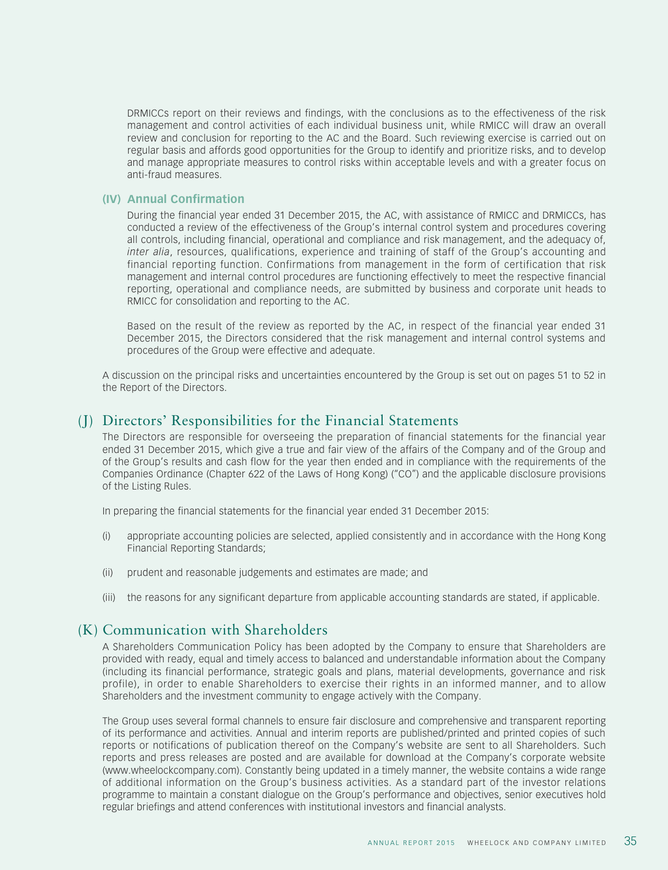DRMICCs report on their reviews and findings, with the conclusions as to the effectiveness of the risk management and control activities of each individual business unit, while RMICC will draw an overall review and conclusion for reporting to the AC and the Board. Such reviewing exercise is carried out on regular basis and affords good opportunities for the Group to identify and prioritize risks, and to develop and manage appropriate measures to control risks within acceptable levels and with a greater focus on anti-fraud measures.

#### **(IV) Annual Confirmation**

During the financial year ended 31 December 2015, the AC, with assistance of RMICC and DRMICCs, has conducted a review of the effectiveness of the Group's internal control system and procedures covering all controls, including financial, operational and compliance and risk management, and the adequacy of, *inter alia*, resources, qualifications, experience and training of staff of the Group's accounting and financial reporting function. Confirmations from management in the form of certification that risk management and internal control procedures are functioning effectively to meet the respective financial reporting, operational and compliance needs, are submitted by business and corporate unit heads to RMICC for consolidation and reporting to the AC.

Based on the result of the review as reported by the AC, in respect of the financial year ended 31 December 2015, the Directors considered that the risk management and internal control systems and procedures of the Group were effective and adequate.

A discussion on the principal risks and uncertainties encountered by the Group is set out on pages 51 to 52 in the Report of the Directors.

## (J) Directors' Responsibilities for the Financial Statements

The Directors are responsible for overseeing the preparation of financial statements for the financial year ended 31 December 2015, which give a true and fair view of the affairs of the Company and of the Group and of the Group's results and cash flow for the year then ended and in compliance with the requirements of the Companies Ordinance (Chapter 622 of the Laws of Hong Kong) ("CO") and the applicable disclosure provisions of the Listing Rules.

In preparing the financial statements for the financial year ended 31 December 2015:

- (i) appropriate accounting policies are selected, applied consistently and in accordance with the Hong Kong Financial Reporting Standards;
- (ii) prudent and reasonable judgements and estimates are made; and
- (iii) the reasons for any significant departure from applicable accounting standards are stated, if applicable.

## (K) Communication with Shareholders

A Shareholders Communication Policy has been adopted by the Company to ensure that Shareholders are provided with ready, equal and timely access to balanced and understandable information about the Company (including its financial performance, strategic goals and plans, material developments, governance and risk profile), in order to enable Shareholders to exercise their rights in an informed manner, and to allow Shareholders and the investment community to engage actively with the Company.

The Group uses several formal channels to ensure fair disclosure and comprehensive and transparent reporting of its performance and activities. Annual and interim reports are published/printed and printed copies of such reports or notifications of publication thereof on the Company's website are sent to all Shareholders. Such reports and press releases are posted and are available for download at the Company's corporate website (www.wheelockcompany.com). Constantly being updated in a timely manner, the website contains a wide range of additional information on the Group's business activities. As a standard part of the investor relations programme to maintain a constant dialogue on the Group's performance and objectives, senior executives hold regular briefings and attend conferences with institutional investors and financial analysts.